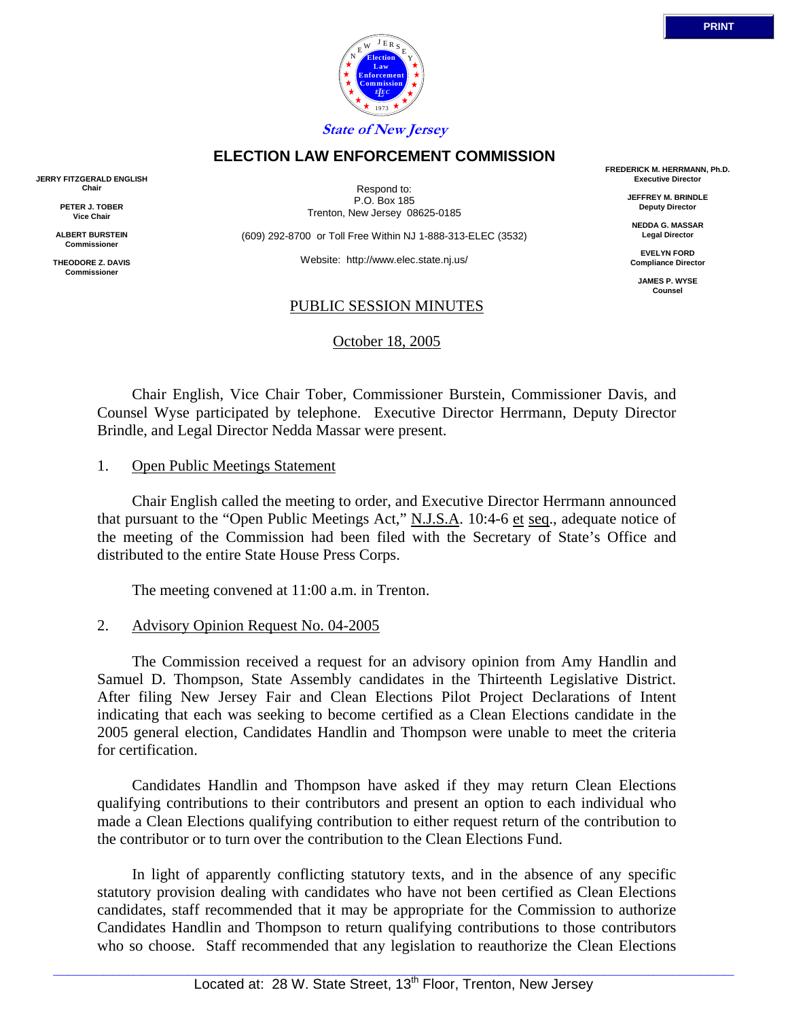

 Chair English, Vice Chair Tober, Commissioner Burstein, Commissioner Davis, and Counsel Wyse participated by telephone. Executive Director Herrmann, Deputy Director Brindle, and Legal Director Nedda Massar were present.

## 1. Open Public Meetings Statement

 Chair English called the meeting to order, and Executive Director Herrmann announced that pursuant to the "Open Public Meetings Act," N.J.S.A. 10:4-6 et seq., adequate notice of the meeting of the Commission had been filed with the Secretary of State's Office and distributed to the entire State House Press Corps.

The meeting convened at 11:00 a.m. in Trenton.

#### 2. Advisory Opinion Request No. 04-2005

 The Commission received a request for an advisory opinion from Amy Handlin and Samuel D. Thompson, State Assembly candidates in the Thirteenth Legislative District. After filing New Jersey Fair and Clean Elections Pilot Project Declarations of Intent indicating that each was seeking to become certified as a Clean Elections candidate in the 2005 general election, Candidates Handlin and Thompson were unable to meet the criteria for certification.

 Candidates Handlin and Thompson have asked if they may return Clean Elections qualifying contributions to their contributors and present an option to each individual who made a Clean Elections qualifying contribution to either request return of the contribution to the contributor or to turn over the contribution to the Clean Elections Fund.

 In light of apparently conflicting statutory texts, and in the absence of any specific statutory provision dealing with candidates who have not been certified as Clean Elections candidates, staff recommended that it may be appropriate for the Commission to authorize Candidates Handlin and Thompson to return qualifying contributions to those contributors who so choose. Staff recommended that any legislation to reauthorize the Clean Elections

**JERRY FITZGERALD ENGLISH Chair**

> **PETER J. TOBER Vice Chair**

**ALBERT BURSTEIN Commissioner**

**THEODORE Z. DAVIS Commissione** 

Respond to: P.O. Box 185 Trenton, New Jersey 08625-0185

**ELECTION LAW ENFORCEMENT COMMISSION**

(609) 292-8700 or Toll Free Within NJ 1-888-313-ELEC (3532)

Website: http://www.elec.state.nj.us/

#### PUBLIC SESSION MINUTES

October 18, 2005

**FREDERICK M. HERRMANN, Ph.D. Executive Director**

> **JEFFREY M. BRINDLE Deputy Director**

**NEDDA G. MASSAR Legal Director**

**EVELYN FORD Compliance Director**

> **JAMES P. WYSE Counsel**

**Election Law Enforcement Commission** *L E EC* 1973  $N \frac{E}{E}$  E R S Y E **State of New Jersey**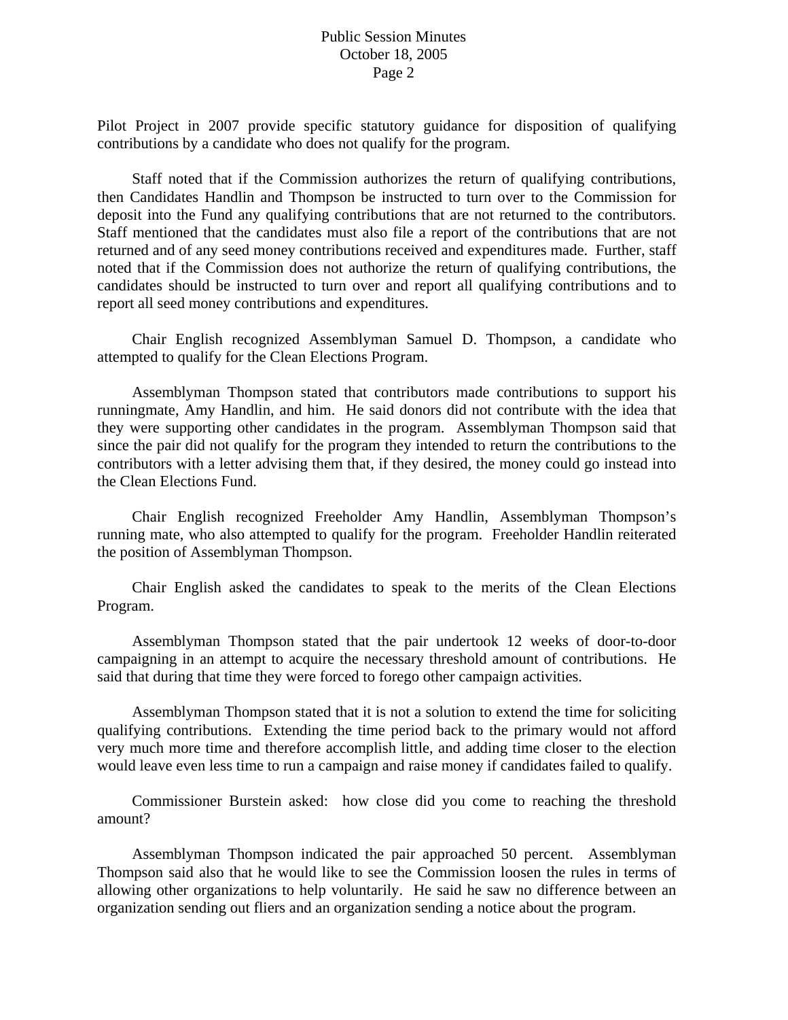Pilot Project in 2007 provide specific statutory guidance for disposition of qualifying contributions by a candidate who does not qualify for the program.

 Staff noted that if the Commission authorizes the return of qualifying contributions, then Candidates Handlin and Thompson be instructed to turn over to the Commission for deposit into the Fund any qualifying contributions that are not returned to the contributors. Staff mentioned that the candidates must also file a report of the contributions that are not returned and of any seed money contributions received and expenditures made. Further, staff noted that if the Commission does not authorize the return of qualifying contributions, the candidates should be instructed to turn over and report all qualifying contributions and to report all seed money contributions and expenditures.

 Chair English recognized Assemblyman Samuel D. Thompson, a candidate who attempted to qualify for the Clean Elections Program.

 Assemblyman Thompson stated that contributors made contributions to support his runningmate, Amy Handlin, and him. He said donors did not contribute with the idea that they were supporting other candidates in the program. Assemblyman Thompson said that since the pair did not qualify for the program they intended to return the contributions to the contributors with a letter advising them that, if they desired, the money could go instead into the Clean Elections Fund.

 Chair English recognized Freeholder Amy Handlin, Assemblyman Thompson's running mate, who also attempted to qualify for the program. Freeholder Handlin reiterated the position of Assemblyman Thompson.

 Chair English asked the candidates to speak to the merits of the Clean Elections Program.

 Assemblyman Thompson stated that the pair undertook 12 weeks of door-to-door campaigning in an attempt to acquire the necessary threshold amount of contributions. He said that during that time they were forced to forego other campaign activities.

 Assemblyman Thompson stated that it is not a solution to extend the time for soliciting qualifying contributions. Extending the time period back to the primary would not afford very much more time and therefore accomplish little, and adding time closer to the election would leave even less time to run a campaign and raise money if candidates failed to qualify.

 Commissioner Burstein asked: how close did you come to reaching the threshold amount?

 Assemblyman Thompson indicated the pair approached 50 percent. Assemblyman Thompson said also that he would like to see the Commission loosen the rules in terms of allowing other organizations to help voluntarily. He said he saw no difference between an organization sending out fliers and an organization sending a notice about the program.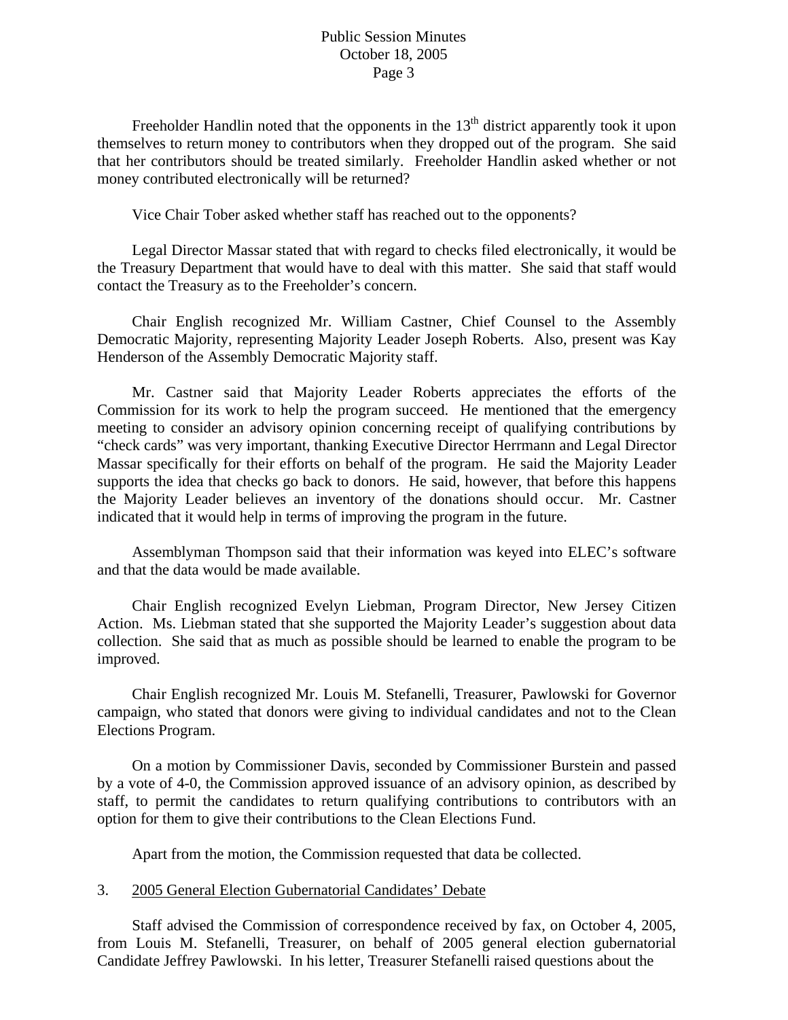Freeholder Handlin noted that the opponents in the  $13<sup>th</sup>$  district apparently took it upon themselves to return money to contributors when they dropped out of the program. She said that her contributors should be treated similarly. Freeholder Handlin asked whether or not money contributed electronically will be returned?

Vice Chair Tober asked whether staff has reached out to the opponents?

 Legal Director Massar stated that with regard to checks filed electronically, it would be the Treasury Department that would have to deal with this matter. She said that staff would contact the Treasury as to the Freeholder's concern.

 Chair English recognized Mr. William Castner, Chief Counsel to the Assembly Democratic Majority, representing Majority Leader Joseph Roberts. Also, present was Kay Henderson of the Assembly Democratic Majority staff.

 Mr. Castner said that Majority Leader Roberts appreciates the efforts of the Commission for its work to help the program succeed. He mentioned that the emergency meeting to consider an advisory opinion concerning receipt of qualifying contributions by "check cards" was very important, thanking Executive Director Herrmann and Legal Director Massar specifically for their efforts on behalf of the program. He said the Majority Leader supports the idea that checks go back to donors. He said, however, that before this happens the Majority Leader believes an inventory of the donations should occur. Mr. Castner indicated that it would help in terms of improving the program in the future.

 Assemblyman Thompson said that their information was keyed into ELEC's software and that the data would be made available.

 Chair English recognized Evelyn Liebman, Program Director, New Jersey Citizen Action. Ms. Liebman stated that she supported the Majority Leader's suggestion about data collection. She said that as much as possible should be learned to enable the program to be improved.

 Chair English recognized Mr. Louis M. Stefanelli, Treasurer, Pawlowski for Governor campaign, who stated that donors were giving to individual candidates and not to the Clean Elections Program.

 On a motion by Commissioner Davis, seconded by Commissioner Burstein and passed by a vote of 4-0, the Commission approved issuance of an advisory opinion, as described by staff, to permit the candidates to return qualifying contributions to contributors with an option for them to give their contributions to the Clean Elections Fund.

Apart from the motion, the Commission requested that data be collected.

#### 3. 2005 General Election Gubernatorial Candidates' Debate

 Staff advised the Commission of correspondence received by fax, on October 4, 2005, from Louis M. Stefanelli, Treasurer, on behalf of 2005 general election gubernatorial Candidate Jeffrey Pawlowski. In his letter, Treasurer Stefanelli raised questions about the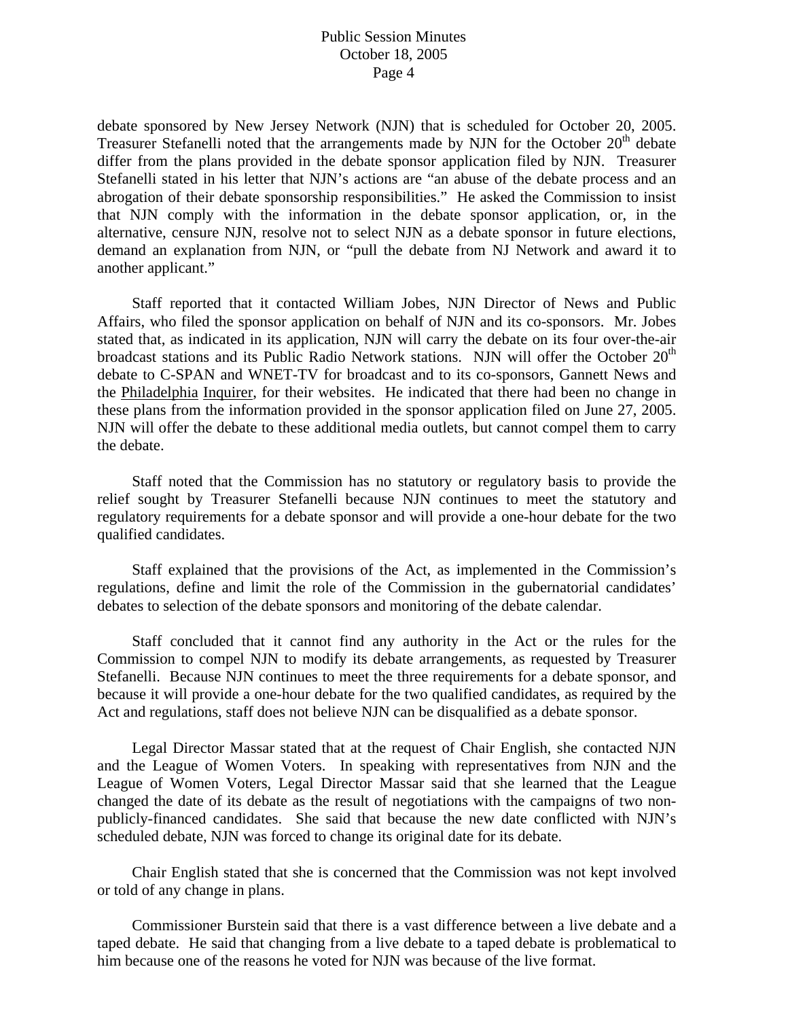debate sponsored by New Jersey Network (NJN) that is scheduled for October 20, 2005. Treasurer Stefanelli noted that the arrangements made by NJN for the October  $20<sup>th</sup>$  debate differ from the plans provided in the debate sponsor application filed by NJN. Treasurer Stefanelli stated in his letter that NJN's actions are "an abuse of the debate process and an abrogation of their debate sponsorship responsibilities." He asked the Commission to insist that NJN comply with the information in the debate sponsor application, or, in the alternative, censure NJN, resolve not to select NJN as a debate sponsor in future elections, demand an explanation from NJN, or "pull the debate from NJ Network and award it to another applicant."

 Staff reported that it contacted William Jobes, NJN Director of News and Public Affairs, who filed the sponsor application on behalf of NJN and its co-sponsors. Mr. Jobes stated that, as indicated in its application, NJN will carry the debate on its four over-the-air broadcast stations and its Public Radio Network stations. NJN will offer the October  $20<sup>th</sup>$ debate to C-SPAN and WNET-TV for broadcast and to its co-sponsors, Gannett News and the Philadelphia Inquirer, for their websites. He indicated that there had been no change in these plans from the information provided in the sponsor application filed on June 27, 2005. NJN will offer the debate to these additional media outlets, but cannot compel them to carry the debate.

 Staff noted that the Commission has no statutory or regulatory basis to provide the relief sought by Treasurer Stefanelli because NJN continues to meet the statutory and regulatory requirements for a debate sponsor and will provide a one-hour debate for the two qualified candidates.

 Staff explained that the provisions of the Act, as implemented in the Commission's regulations, define and limit the role of the Commission in the gubernatorial candidates' debates to selection of the debate sponsors and monitoring of the debate calendar.

 Staff concluded that it cannot find any authority in the Act or the rules for the Commission to compel NJN to modify its debate arrangements, as requested by Treasurer Stefanelli. Because NJN continues to meet the three requirements for a debate sponsor, and because it will provide a one-hour debate for the two qualified candidates, as required by the Act and regulations, staff does not believe NJN can be disqualified as a debate sponsor.

 Legal Director Massar stated that at the request of Chair English, she contacted NJN and the League of Women Voters. In speaking with representatives from NJN and the League of Women Voters, Legal Director Massar said that she learned that the League changed the date of its debate as the result of negotiations with the campaigns of two nonpublicly-financed candidates. She said that because the new date conflicted with NJN's scheduled debate, NJN was forced to change its original date for its debate.

 Chair English stated that she is concerned that the Commission was not kept involved or told of any change in plans.

 Commissioner Burstein said that there is a vast difference between a live debate and a taped debate. He said that changing from a live debate to a taped debate is problematical to him because one of the reasons he voted for NJN was because of the live format.